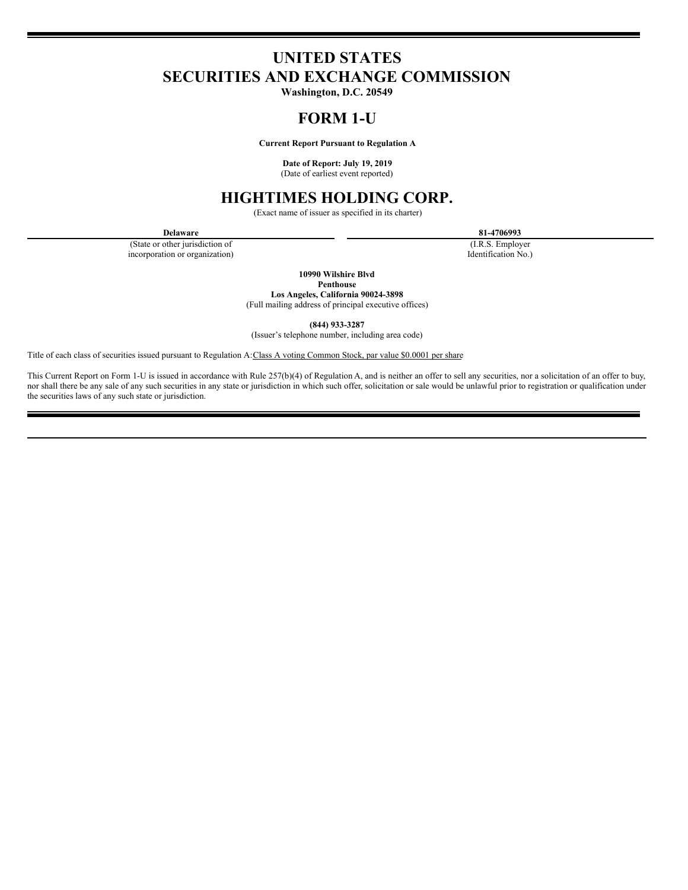# **UNITED STATES SECURITIES AND EXCHANGE COMMISSION**

**Washington, D.C. 20549**

# **FORM 1-U**

**Current Report Pursuant to Regulation A**

**Date of Report: July 19, 2019** (Date of earliest event reported)

# **HIGHTIMES HOLDING CORP.**

(Exact name of issuer as specified in its charter)

(State or other jurisdiction of incorporation or organization)

**Delaware 81-4706993**

(I.R.S. Employer Identification No.)

**10990 Wilshire Blvd**

**Penthouse**

**Los Angeles, California 90024-3898** (Full mailing address of principal executive offices)

**(844) 933-3287**

(Issuer's telephone number, including area code)

Title of each class of securities issued pursuant to Regulation A: Class A voting Common Stock, par value \$0.0001 per share

This Current Report on Form 1-U is issued in accordance with Rule 257(b)(4) of Regulation A, and is neither an offer to sell any securities, nor a solicitation of an offer to buy, nor shall there be any sale of any such securities in any state or jurisdiction in which such offer, solicitation or sale would be unlawful prior to registration or qualification under the securities laws of any such state or jurisdiction.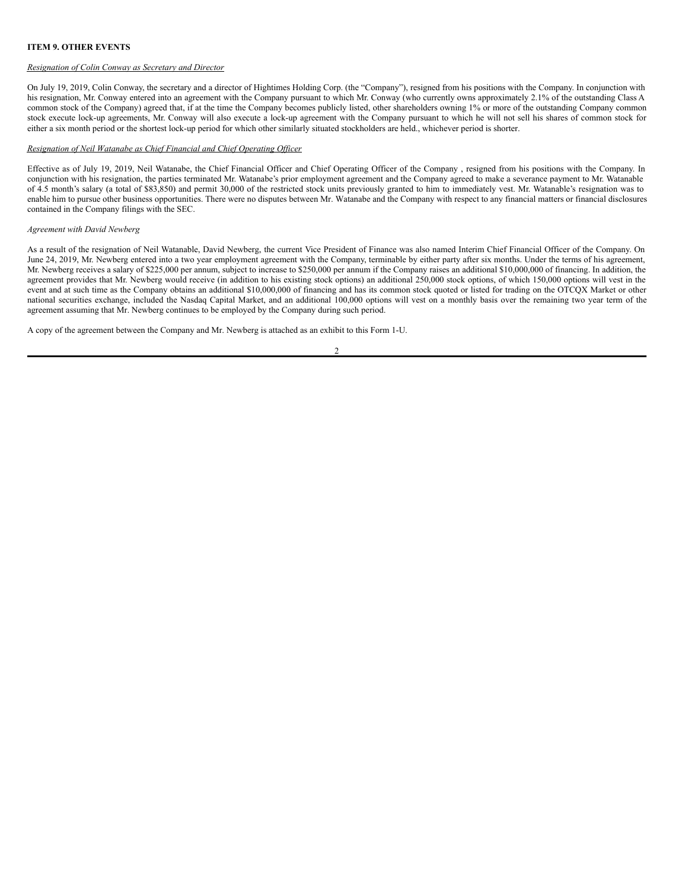## **ITEM 9. OTHER EVENTS**

### *Resignation of Colin Conway as Secretary and Director*

On July 19, 2019, Colin Conway, the secretary and a director of Hightimes Holding Corp. (the "Company"), resigned from his positions with the Company. In conjunction with his resignation, Mr. Conway entered into an agreement with the Company pursuant to which Mr. Conway (who currently owns approximately 2.1% of the outstanding Class A common stock of the Company) agreed that, if at the time the Company becomes publicly listed, other shareholders owning 1% or more of the outstanding Company common stock execute lock-up agreements, Mr. Conway will also execute a lock-up agreement with the Company pursuant to which he will not sell his shares of common stock for either a six month period or the shortest lock-up period for which other similarly situated stockholders are held., whichever period is shorter.

### *Resignation of Neil Watanabe as Chief Financial and Chief Operating Of icer*

Effective as of July 19, 2019, Neil Watanabe, the Chief Financial Officer and Chief Operating Officer of the Company , resigned from his positions with the Company. In conjunction with his resignation, the parties terminated Mr. Watanabe's prior employment agreement and the Company agreed to make a severance payment to Mr. Watanable of 4.5 month's salary (a total of \$83,850) and permit 30,000 of the restricted stock units previously granted to him to immediately vest. Mr. Watanable's resignation was to enable him to pursue other business opportunities. There were no disputes between Mr. Watanabe and the Company with respect to any financial matters or financial disclosures contained in the Company filings with the SEC.

### *Agreement with David Newberg*

As a result of the resignation of Neil Watanable, David Newberg, the current Vice President of Finance was also named Interim Chief Financial Officer of the Company. On June 24, 2019, Mr. Newberg entered into a two year employment agreement with the Company, terminable by either party after six months. Under the terms of his agreement, Mr. Newberg receives a salary of \$225,000 per annum, subject to increase to \$250,000 per annum if the Company raises an additional \$10,000,000 of financing. In addition, the agreement provides that Mr. Newberg would receive (in addition to his existing stock options) an additional 250,000 stock options, of which 150,000 options will vest in the event and at such time as the Company obtains an additional \$10,000,000 of financing and has its common stock quoted or listed for trading on the OTCQX Market or other national securities exchange, included the Nasdaq Capital Market, and an additional 100,000 options will vest on a monthly basis over the remaining two year term of the agreement assuming that Mr. Newberg continues to be employed by the Company during such period.

A copy of the agreement between the Company and Mr. Newberg is attached as an exhibit to this Form 1-U.

$$
2 -
$$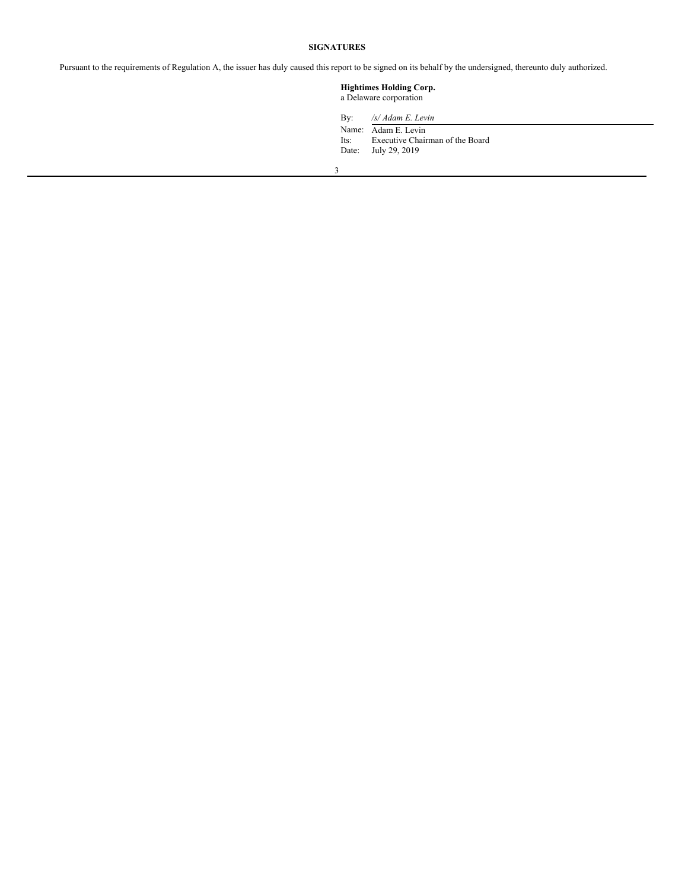## **SIGNATURES**

Pursuant to the requirements of Regulation A, the issuer has duly caused this report to be signed on its behalf by the undersigned, thereunto duly authorized.

## **Hightimes Holding Corp.** a Delaware corporation

By: */s/ Adam E. Levin*

Name: Adam E. Levin Its: Executive Chairman of the Board Date: July 29, 2019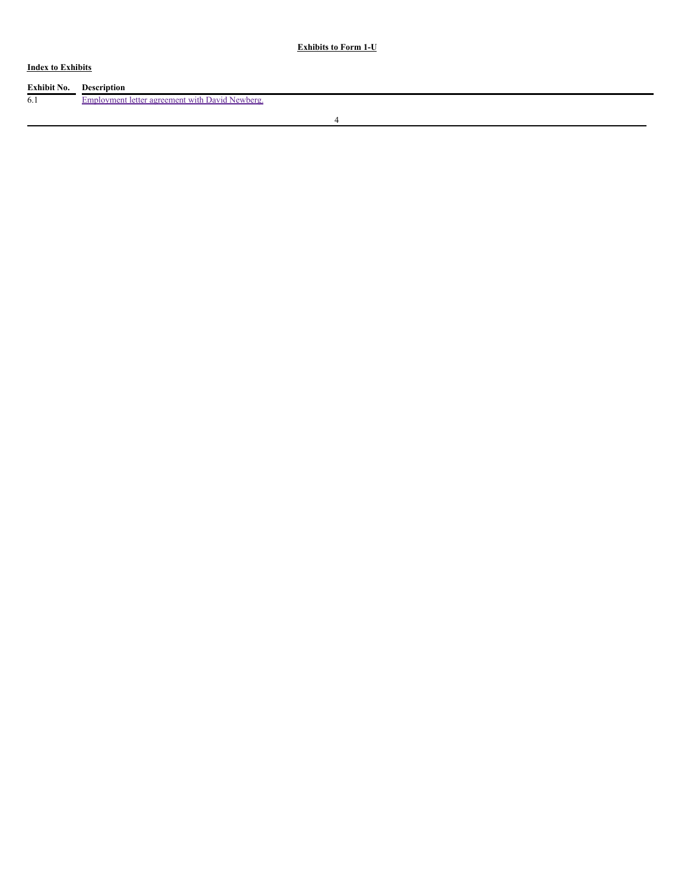## **Index to Exhibits**

| Exhibit No. | <b>Description</b>                              |
|-------------|-------------------------------------------------|
| 6.1         | Employment letter agreement with David Newberg. |
|             |                                                 |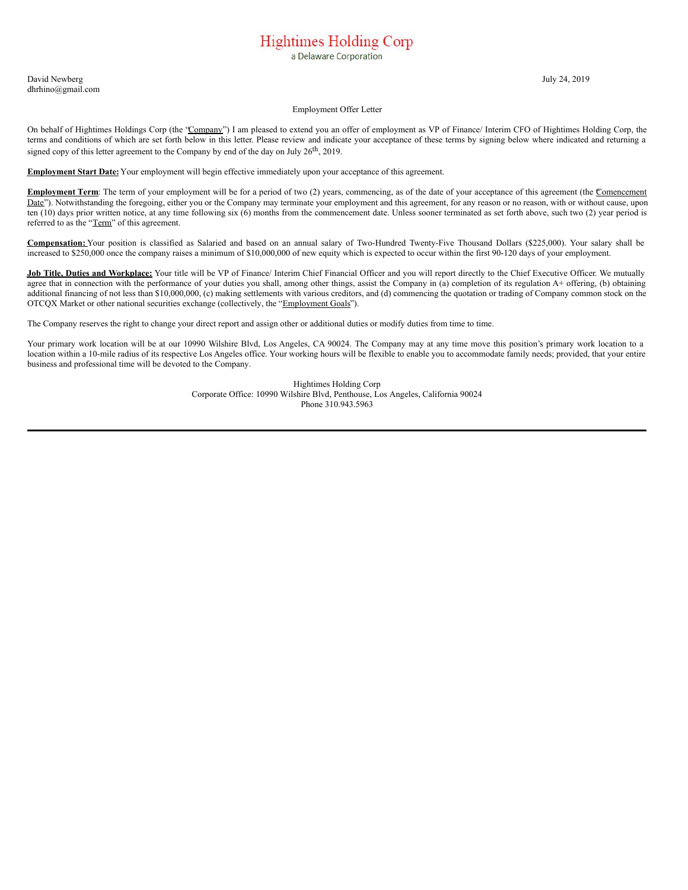# **Hightimes Holding Corp**

a Delaware Corporation

David Newberg July 24, 2019 dhrhino@gmail.com

#### Employment Offer Letter

On behalf of Hightimes Holdings Corp (the "Company") I am pleased to extend you an offer of employment as VP of Finance/ Interim CFO of Hightimes Holding Corp, the terms and conditions of which are set forth below in this letter. Please review and indicate your acceptance of these terms by signing below where indicated and returning a signed copy of this letter agreement to the Company by end of the day on July  $26^{th}$ , 2019.

**Employment Start Date:** Your employment will begin effective immediately upon your acceptance of this agreement.

**Employment Term**: The term of your employment will be for a period of two (2) years, commencing, as of the date of your acceptance of this agreement (the Comencement Date"). Notwithstanding the foregoing, either you or the Company may terminate your employment and this agreement, for any reason or no reason, with or without cause, upon ten (10) days prior written notice, at any time following six (6) months from the commencement date. Unless sooner terminated as set forth above, such two (2) year period is referred to as the "Term" of this agreement.

**Compensation:** Your position is classified as Salaried and based on an annual salary of Two-Hundred Twenty-Five Thousand Dollars (\$225,000). Your salary shall be increased to \$250,000 once the company raises a minimum of \$10,000,000 of new equity which is expected to occur within the first 90-120 days of your employment.

**Job Title, Duties and Workplace:** Your title will be VP of Finance/ Interim Chief Financial Officer and you will report directly to the Chief Executive Officer. We mutually agree that in connection with the performance of your duties you shall, among other things, assist the Company in (a) completion of its regulation A+ offering, (b) obtaining additional financing of not less than \$10,000,000, (c) making settlements with various creditors, and (d) commencing the quotation or trading of Company common stock on the OTCQX Market or other national securities exchange (collectively, the "Employment Goals").

The Company reserves the right to change your direct report and assign other or additional duties or modify duties from time to time.

Your primary work location will be at our 10990 Wilshire Blvd, Los Angeles, CA 90024. The Company may at any time move this position's primary work location to a location within a 10-mile radius of its respective Los Angeles office. Your working hours will be flexible to enable you to accommodate family needs; provided, that your entire business and professional time will be devoted to the Company.

> Hightimes Holding Corp Corporate Office: 10990 Wilshire Blvd, Penthouse, Los Angeles, California 90024 Phone 310.943.5963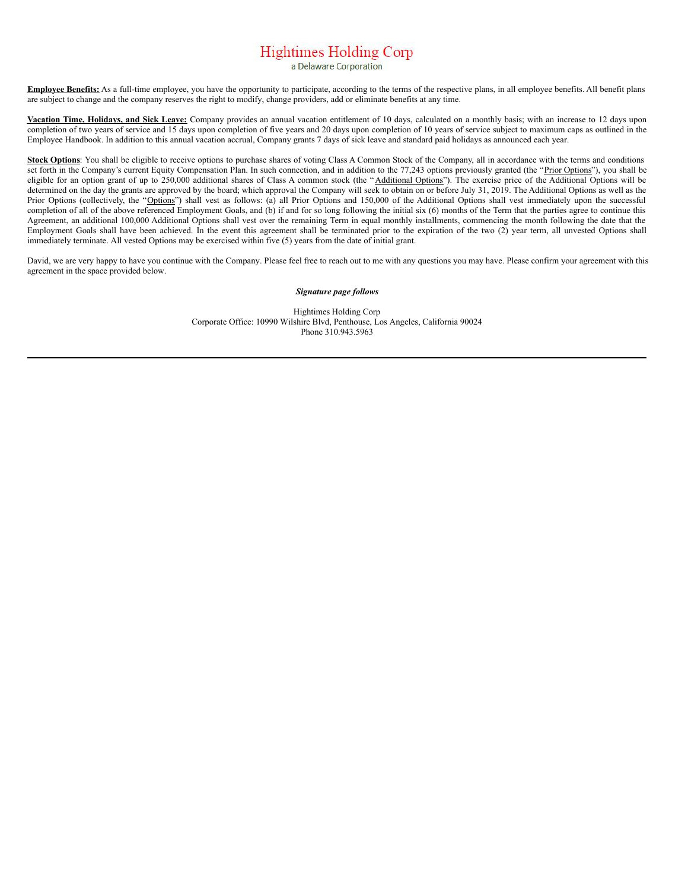# <span id="page-6-0"></span>**Hightimes Holding Corp**

a Delaware Corporation

**Employee Benefits:** As a full-time employee, you have the opportunity to participate, according to the terms of the respective plans, in all employee benefits. All benefit plans are subject to change and the company reserves the right to modify, change providers, add or eliminate benefits at any time.

**Vacation Time, Holidays, and Sick Leave:** Company provides an annual vacation entitlement of 10 days, calculated on a monthly basis; with an increase to 12 days upon completion of two years of service and 15 days upon completion of five years and 20 days upon completion of 10 years of service subject to maximum caps as outlined in the Employee Handbook. In addition to this annual vacation accrual, Company grants 7 days of sick leave and standard paid holidays as announced each year.

**Stock Options**: You shall be eligible to receive options to purchase shares of voting Class A Common Stock of the Company, all in accordance with the terms and conditions set forth in the Company's current Equity Compensation Plan. In such connection, and in addition to the 77,243 options previously granted (the "Prior Options"), you shall be eligible for an option grant of up to 250,000 additional shares of Class A common stock (the "Additional Options"). The exercise price of the Additional Options will be determined on the day the grants are approved by the board; which approval the Company will seek to obtain on or before July 31, 2019. The Additional Options as well as the Prior Options (collectively, the "Options") shall vest as follows: (a) all Prior Options and 150,000 of the Additional Options shall vest immediately upon the successful completion of all of the above referenced Employment Goals, and (b) if and for so long following the initial six (6) months of the Term that the parties agree to continue this Agreement, an additional 100,000 Additional Options shall vest over the remaining Term in equal monthly installments, commencing the month following the date that the Employment Goals shall have been achieved. In the event this agreement shall be terminated prior to the expiration of the two (2) year term, all unvested Options shall immediately terminate. All vested Options may be exercised within five (5) years from the date of initial grant.

David, we are very happy to have you continue with the Company. Please feel free to reach out to me with any questions you may have. Please confirm your agreement with this agreement in the space provided below.

#### *Signature page follows*

Hightimes Holding Corp Corporate Office: 10990 Wilshire Blvd, Penthouse, Los Angeles, California 90024 Phone 310.943.5963